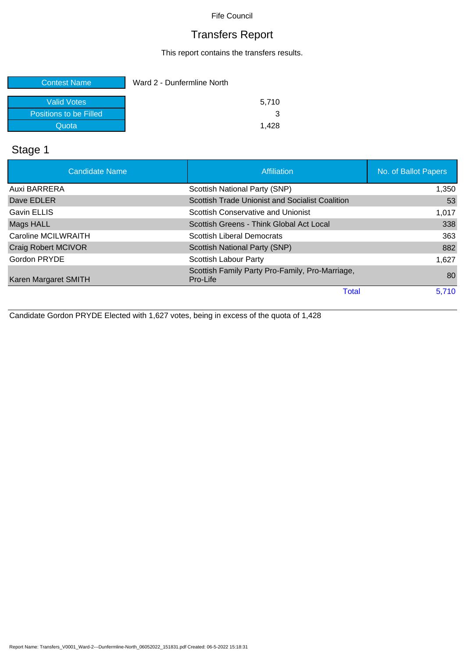## Transfers Report

This report contains the transfers results.

| <b>Contest Name</b>    | Ward 2 - Dunfermline North |
|------------------------|----------------------------|
| Valid Votes            | 5.710                      |
| Positions to be Filled |                            |
| Quota                  | 1.428                      |

## Stage 1

| <b>Candidate Name</b> | <b>Affiliation</b>                                          | No. of Ballot Papers |
|-----------------------|-------------------------------------------------------------|----------------------|
| Auxi BARRERA          | Scottish National Party (SNP)                               | 1,350                |
| Dave EDLER            | <b>Scottish Trade Unionist and Socialist Coalition</b>      | 53                   |
| <b>Gavin ELLIS</b>    | Scottish Conservative and Unionist                          | 1,017                |
| Mags HALL             | Scottish Greens - Think Global Act Local                    | 338                  |
| Caroline MCILWRAITH   | <b>Scottish Liberal Democrats</b>                           | 363                  |
| Craig Robert MCIVOR   | Scottish National Party (SNP)                               | 882                  |
| Gordon PRYDE          | Scottish Labour Party                                       | 1.627                |
| Karen Margaret SMITH  | Scottish Family Party Pro-Family, Pro-Marriage,<br>Pro-Life | 80                   |
|                       | Total                                                       | 5,710                |

Candidate Gordon PRYDE Elected with 1,627 votes, being in excess of the quota of 1,428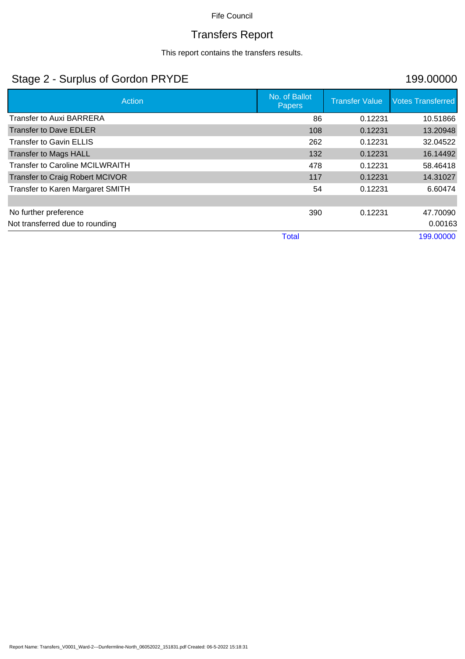# Transfers Report

This report contains the transfers results.

## Stage 2 - Surplus of Gordon PRYDE 199.00000

| Action                                 | No. of Ballot<br><b>Papers</b> | <b>Transfer Value</b> | <b>Votes Transferred</b> |
|----------------------------------------|--------------------------------|-----------------------|--------------------------|
| <b>Transfer to Auxi BARRERA</b>        | 86                             | 0.12231               | 10.51866                 |
| <b>Transfer to Dave EDLER</b>          | 108                            | 0.12231               | 13.20948                 |
| <b>Transfer to Gavin ELLIS</b>         | 262                            | 0.12231               | 32.04522                 |
| <b>Transfer to Mags HALL</b>           | 132                            | 0.12231               | 16.14492                 |
| <b>Transfer to Caroline MCILWRAITH</b> | 478                            | 0.12231               | 58.46418                 |
| <b>Transfer to Craig Robert MCIVOR</b> | 117                            | 0.12231               | 14.31027                 |
| Transfer to Karen Margaret SMITH       | 54                             | 0.12231               | 6.60474                  |
|                                        |                                |                       |                          |
| No further preference                  | 390                            | 0.12231               | 47.70090                 |
| Not transferred due to rounding        |                                |                       | 0.00163                  |
|                                        | <b>Total</b>                   |                       | 199.00000                |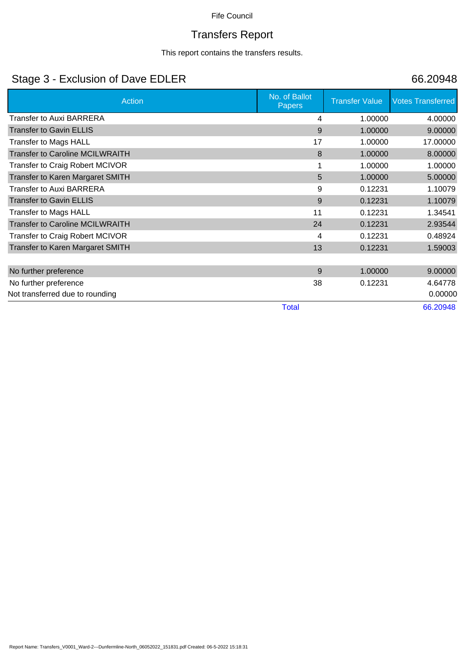# Transfers Report

This report contains the transfers results.

## Stage 3 - Exclusion of Dave EDLER 66.20948

| Action                                  | No. of Ballot<br><b>Papers</b> | <b>Transfer Value</b> | <b>Votes Transferred</b> |
|-----------------------------------------|--------------------------------|-----------------------|--------------------------|
| <b>Transfer to Auxi BARRERA</b>         | 4                              | 1.00000               | 4.00000                  |
| <b>Transfer to Gavin ELLIS</b>          | 9                              | 1.00000               | 9.00000                  |
| <b>Transfer to Mags HALL</b>            | 17                             | 1.00000               | 17.00000                 |
| <b>Transfer to Caroline MCILWRAITH</b>  | 8                              | 1.00000               | 8.00000                  |
| Transfer to Craig Robert MCIVOR         |                                | 1.00000               | 1.00000                  |
| Transfer to Karen Margaret SMITH        | 5                              | 1.00000               | 5.00000                  |
| <b>Transfer to Auxi BARRERA</b>         | 9                              | 0.12231               | 1.10079                  |
| <b>Transfer to Gavin ELLIS</b>          | 9                              | 0.12231               | 1.10079                  |
| <b>Transfer to Mags HALL</b>            | 11                             | 0.12231               | 1.34541                  |
| <b>Transfer to Caroline MCILWRAITH</b>  | 24                             | 0.12231               | 2.93544                  |
| Transfer to Craig Robert MCIVOR         | 4                              | 0.12231               | 0.48924                  |
| <b>Transfer to Karen Margaret SMITH</b> | 13                             | 0.12231               | 1.59003                  |
|                                         |                                |                       |                          |
| No further preference                   | 9                              | 1.00000               | 9.00000                  |
| No further preference                   | 38                             | 0.12231               | 4.64778                  |
| Not transferred due to rounding         |                                |                       | 0.00000                  |
|                                         | <b>Total</b>                   |                       | 66.20948                 |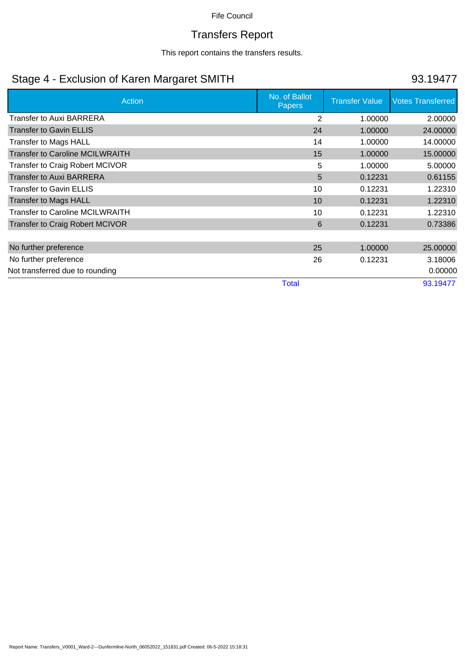# Transfers Report

This report contains the transfers results.

## Stage 4 - Exclusion of Karen Margaret SMITH 93.19477

| Action                                 | No. of Ballot<br><b>Papers</b> | <b>Transfer Value</b> | <b>Votes Transferred</b> |
|----------------------------------------|--------------------------------|-----------------------|--------------------------|
| <b>Transfer to Auxi BARRERA</b>        | 2                              | 1.00000               | 2.00000                  |
| <b>Transfer to Gavin ELLIS</b>         | 24                             | 1.00000               | 24.00000                 |
| Transfer to Mags HALL                  | 14                             | 1.00000               | 14.00000                 |
| <b>Transfer to Caroline MCILWRAITH</b> | 15                             | 1.00000               | 15.00000                 |
| <b>Transfer to Craig Robert MCIVOR</b> | 5                              | 1.00000               | 5.00000                  |
| <b>Transfer to Auxi BARRERA</b>        | 5                              | 0.12231               | 0.61155                  |
| <b>Transfer to Gavin ELLIS</b>         | 10                             | 0.12231               | 1.22310                  |
| <b>Transfer to Mags HALL</b>           | 10                             | 0.12231               | 1.22310                  |
| Transfer to Caroline MCILWRAITH        | 10                             | 0.12231               | 1.22310                  |
| <b>Transfer to Craig Robert MCIVOR</b> | 6                              | 0.12231               | 0.73386                  |
|                                        |                                |                       |                          |
| No further preference                  | 25                             | 1.00000               | 25.00000                 |
| No further preference                  | 26                             | 0.12231               | 3.18006                  |
| Not transferred due to rounding        |                                |                       | 0.00000                  |
|                                        | <b>Total</b>                   |                       | 93.19477                 |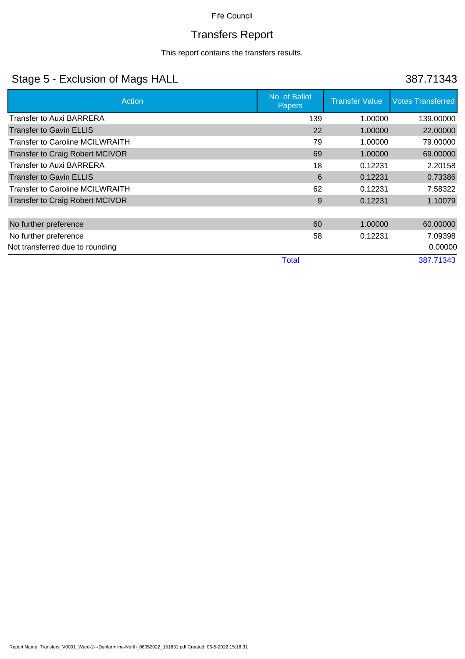# Transfers Report

This report contains the transfers results.

## Stage 5 - Exclusion of Mags HALL 387.71343

| Action                                 | No. of Ballot<br><b>Papers</b> | <b>Transfer Value</b> | <b>Votes Transferred</b> |
|----------------------------------------|--------------------------------|-----------------------|--------------------------|
| <b>Transfer to Auxi BARRERA</b>        | 139                            | 1.00000               | 139,00000                |
| <b>Transfer to Gavin ELLIS</b>         | 22                             | 1.00000               | 22.00000                 |
| <b>Transfer to Caroline MCILWRAITH</b> | 79                             | 1.00000               | 79.00000                 |
| <b>Transfer to Craig Robert MCIVOR</b> | 69                             | 1.00000               | 69.00000                 |
| <b>Transfer to Auxi BARRERA</b>        | 18                             | 0.12231               | 2.20158                  |
| <b>Transfer to Gavin ELLIS</b>         | 6                              | 0.12231               | 0.73386                  |
| <b>Transfer to Caroline MCILWRAITH</b> | 62                             | 0.12231               | 7.58322                  |
| <b>Transfer to Craig Robert MCIVOR</b> | 9                              | 0.12231               | 1.10079                  |
|                                        |                                |                       |                          |
| No further preference                  | 60                             | 1.00000               | 60.00000                 |
| No further preference                  | 58                             | 0.12231               | 7.09398                  |
| Not transferred due to rounding        |                                |                       | 0.00000                  |
|                                        | <b>Total</b>                   |                       | 387.71343                |

Report Name: Transfers\_V0001\_Ward-2---Dunfermline-North\_06052022\_151831.pdf Created: 06-5-2022 15:18:31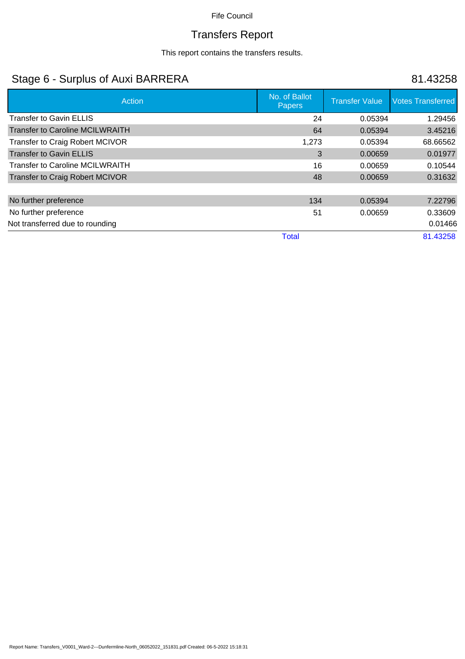# Transfers Report

This report contains the transfers results.

## Stage 6 - Surplus of Auxi BARRERA 81.43258

| Action                                 | No. of Ballot<br><b>Papers</b> | <b>Transfer Value</b> | <b>Votes Transferred</b> |
|----------------------------------------|--------------------------------|-----------------------|--------------------------|
| <b>Transfer to Gavin ELLIS</b>         | 24                             | 0.05394               | 1.29456                  |
| <b>Transfer to Caroline MCILWRAITH</b> | 64                             | 0.05394               | 3.45216                  |
| <b>Transfer to Craig Robert MCIVOR</b> | 1,273                          | 0.05394               | 68.66562                 |
| <b>Transfer to Gavin ELLIS</b>         | 3                              | 0.00659               | 0.01977                  |
| <b>Transfer to Caroline MCILWRAITH</b> | 16                             | 0.00659               | 0.10544                  |
| <b>Transfer to Craig Robert MCIVOR</b> | 48                             | 0.00659               | 0.31632                  |
|                                        |                                |                       |                          |
| No further preference                  | 134                            | 0.05394               | 7.22796                  |
| No further preference                  | 51                             | 0.00659               | 0.33609                  |
| Not transferred due to rounding        |                                |                       | 0.01466                  |
|                                        | <b>Total</b>                   |                       | 81.43258                 |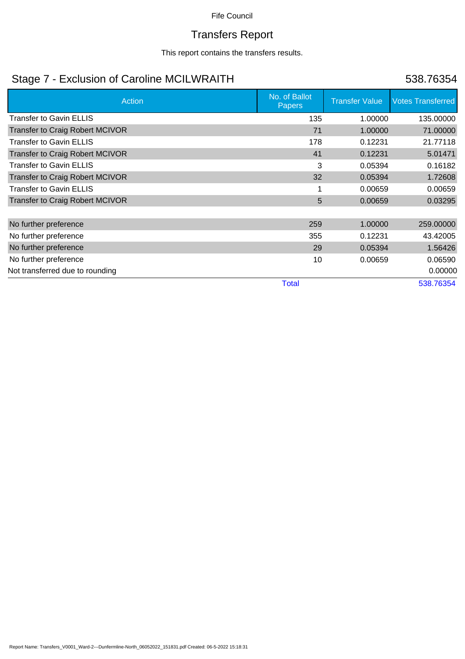# Transfers Report

This report contains the transfers results.

# Stage 7 - Exclusion of Caroline MCILWRAITH 538.76354

| Action                                 | No. of Ballot<br>Papers | <b>Transfer Value</b> | <b>Votes Transferred</b> |
|----------------------------------------|-------------------------|-----------------------|--------------------------|
| <b>Transfer to Gavin ELLIS</b>         | 135                     | 1.00000               | 135.00000                |
| Transfer to Craig Robert MCIVOR        | 71                      | 1.00000               | 71.00000                 |
| <b>Transfer to Gavin ELLIS</b>         | 178                     | 0.12231               | 21.77118                 |
| <b>Transfer to Craig Robert MCIVOR</b> | 41                      | 0.12231               | 5.01471                  |
| <b>Transfer to Gavin ELLIS</b>         | 3                       | 0.05394               | 0.16182                  |
| <b>Transfer to Craig Robert MCIVOR</b> | 32                      | 0.05394               | 1.72608                  |
| <b>Transfer to Gavin ELLIS</b>         |                         | 0.00659               | 0.00659                  |
| <b>Transfer to Craig Robert MCIVOR</b> | 5                       | 0.00659               | 0.03295                  |
|                                        |                         |                       |                          |
| No further preference                  | 259                     | 1.00000               | 259.00000                |
| No further preference                  | 355                     | 0.12231               | 43.42005                 |
| No further preference                  | 29                      | 0.05394               | 1.56426                  |
| No further preference                  | 10                      | 0.00659               | 0.06590                  |
| Not transferred due to rounding        |                         |                       | 0.00000                  |
|                                        | <b>Total</b>            |                       | 538.76354                |